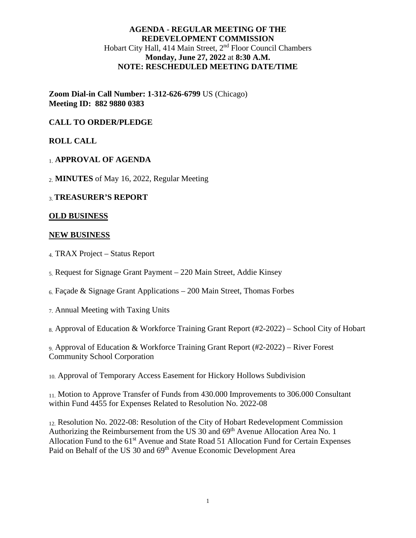# **AGENDA - REGULAR MEETING OF THE REDEVELOPMENT COMMISSION** Hobart City Hall, 414 Main Street, 2<sup>nd</sup> Floor Council Chambers **Monday, June 27, 2022** at **8:30 A.M. NOTE: RESCHEDULED MEETING DATE/TIME**

**Zoom Dial-in Call Number: 1-312-626-6799** US (Chicago) **Meeting ID: 882 9880 0383**

## **CALL TO ORDER/PLEDGE**

## **ROLL CALL**

### 1. **APPROVAL OF AGENDA**

2. **MINUTES** of May 16, 2022, Regular Meeting

### 3.**TREASURER'S REPORT**

#### **OLD BUSINESS**

#### **NEW BUSINESS**

- 4. TRAX Project Status Report
- 5. Request for Signage Grant Payment 220 Main Street, Addie Kinsey
- $6.$  Façade & Signage Grant Applications 200 Main Street, Thomas Forbes
- 7. Annual Meeting with Taxing Units

8. Approval of Education & Workforce Training Grant Report (#2-2022) – School City of Hobart

9. Approval of Education & Workforce Training Grant Report (#2-2022) – River Forest Community School Corporation

10. Approval of Temporary Access Easement for Hickory Hollows Subdivision

11. Motion to Approve Transfer of Funds from 430.000 Improvements to 306.000 Consultant within Fund 4455 for Expenses Related to Resolution No. 2022-08

12. Resolution No. 2022-08: Resolution of the City of Hobart Redevelopment Commission Authorizing the Reimbursement from the US 30 and 69<sup>th</sup> Avenue Allocation Area No. 1 Allocation Fund to the 61<sup>st</sup> Avenue and State Road 51 Allocation Fund for Certain Expenses Paid on Behalf of the US 30 and 69<sup>th</sup> Avenue Economic Development Area